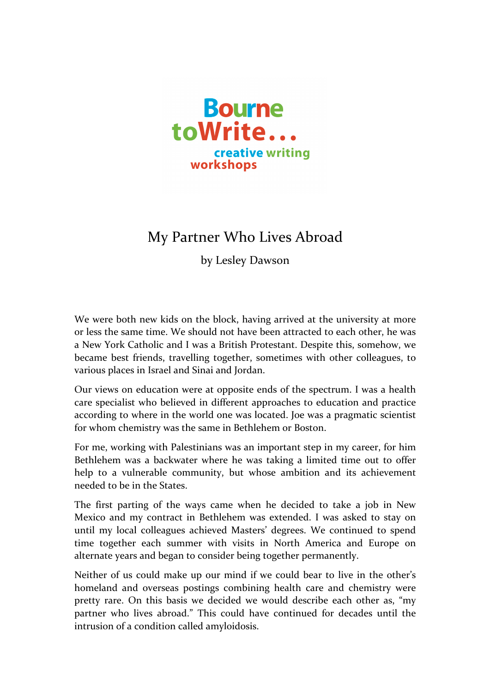

## My Partner Who Lives Abroad

by Lesley Dawson

We were both new kids on the block, having arrived at the university at more or less the same time. We should not have been attracted to each other, he was a New York Catholic and I was a British Protestant. Despite this, somehow, we became best friends, travelling together, sometimes with other colleagues, to various places in Israel and Sinai and Jordan.

Our views on education were at opposite ends of the spectrum. I was a health care specialist who believed in different approaches to education and practice according to where in the world one was located. Joe was a pragmatic scientist for whom chemistry was the same in Bethlehem or Boston.

For me, working with Palestinians was an important step in my career, for him Bethlehem was a backwater where he was taking a limited time out to offer help to a vulnerable community, but whose ambition and its achievement needed to be in the States.

The first parting of the ways came when he decided to take a job in New Mexico and my contract in Bethlehem was extended. I was asked to stay on until my local colleagues achieved Masters' degrees. We continued to spend time together each summer with visits in North America and Europe on alternate years and began to consider being together permanently.

Neither of us could make up our mind if we could bear to live in the other's homeland and overseas postings combining health care and chemistry were pretty rare. On this basis we decided we would describe each other as, "my partner who lives abroad." This could have continued for decades until the intrusion of a condition called amyloidosis.